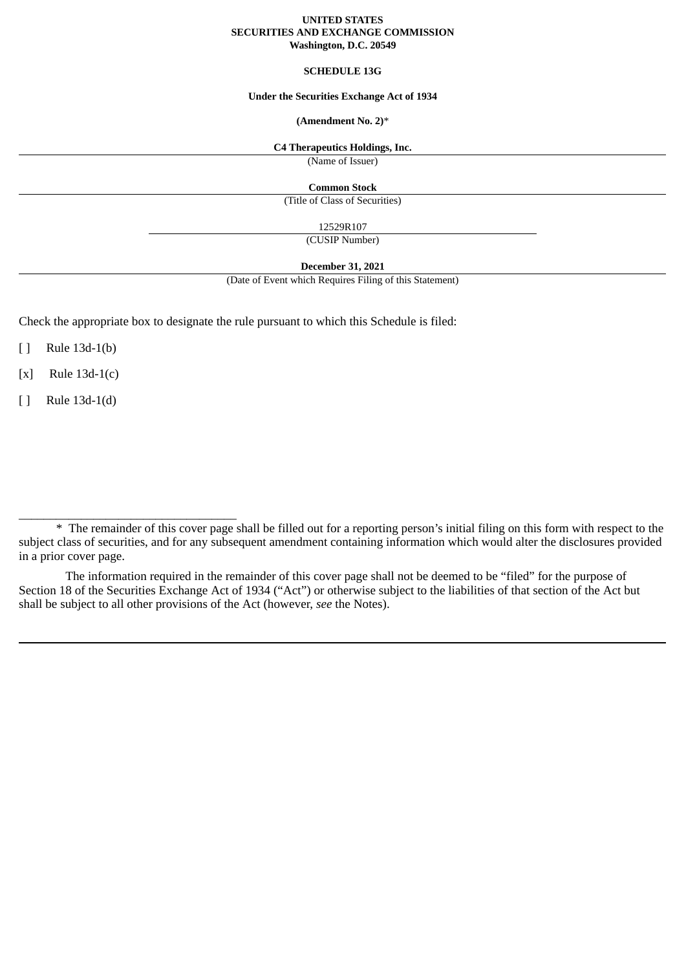#### **UNITED STATES SECURITIES AND EXCHANGE COMMISSION Washington, D.C. 20549**

## **SCHEDULE 13G**

#### **Under the Securities Exchange Act of 1934**

## **(Amendment No. 2)**\*

#### **C4 Therapeutics Holdings, Inc.**

(Name of Issuer)

**Common Stock**

(Title of Class of Securities)

12529R107

(CUSIP Number)

**December 31, 2021**

(Date of Event which Requires Filing of this Statement)

Check the appropriate box to designate the rule pursuant to which this Schedule is filed:

[ ] Rule 13d-1(b)

[x] Rule 13d-1(c)

[ ] Rule 13d-1(d)

\_\_\_\_\_\_\_\_\_\_\_\_\_\_\_\_\_\_\_\_\_\_\_\_\_\_\_\_\_\_\_\_\_\_\_

The information required in the remainder of this cover page shall not be deemed to be "filed" for the purpose of Section 18 of the Securities Exchange Act of 1934 ("Act") or otherwise subject to the liabilities of that section of the Act but shall be subject to all other provisions of the Act (however, *see* the Notes).

<sup>\*</sup> The remainder of this cover page shall be filled out for a reporting person's initial filing on this form with respect to the subject class of securities, and for any subsequent amendment containing information which would alter the disclosures provided in a prior cover page.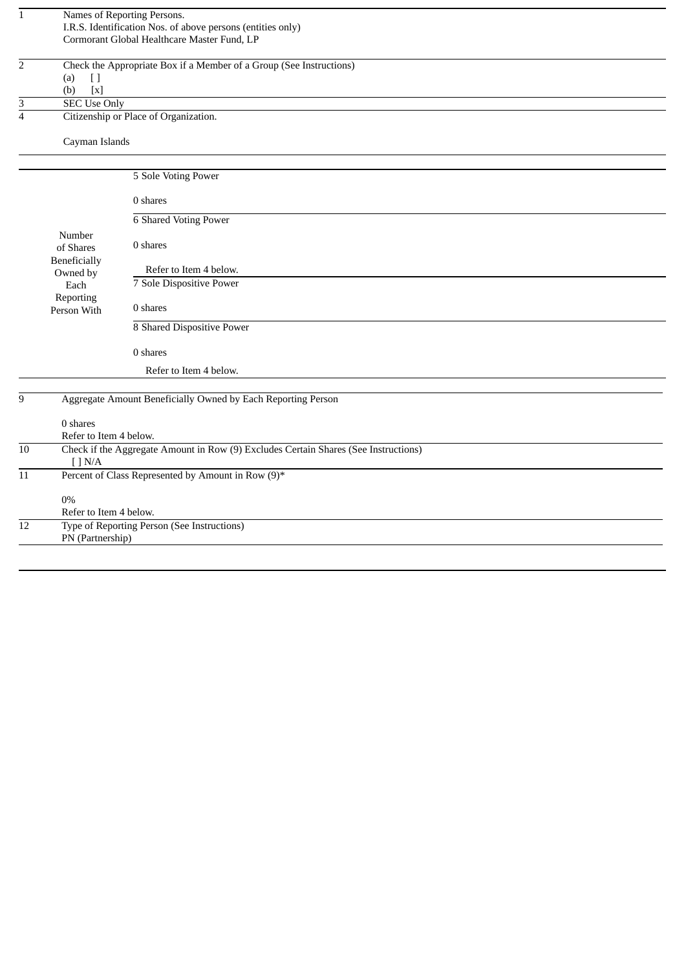| $\mathbf{1}$    |                          | Names of Reporting Persons.                                                         |
|-----------------|--------------------------|-------------------------------------------------------------------------------------|
|                 |                          | I.R.S. Identification Nos. of above persons (entities only)                         |
|                 |                          | Cormorant Global Healthcare Master Fund, LP                                         |
|                 |                          |                                                                                     |
| $\overline{2}$  |                          | Check the Appropriate Box if a Member of a Group (See Instructions)                 |
|                 | (a)<br>$[ \ ]$           |                                                                                     |
|                 | [x]<br>(b)               |                                                                                     |
| $\overline{3}$  | <b>SEC Use Only</b>      |                                                                                     |
| $\overline{4}$  |                          | Citizenship or Place of Organization.                                               |
|                 |                          |                                                                                     |
|                 | Cayman Islands           |                                                                                     |
|                 |                          |                                                                                     |
|                 |                          |                                                                                     |
|                 |                          | 5 Sole Voting Power                                                                 |
|                 |                          |                                                                                     |
|                 |                          | 0 shares                                                                            |
|                 |                          | <b>6 Shared Voting Power</b>                                                        |
|                 | Number                   |                                                                                     |
|                 | of Shares                | 0 shares                                                                            |
|                 |                          |                                                                                     |
|                 | Beneficially<br>Owned by | Refer to Item 4 below.                                                              |
|                 | Each                     | 7 Sole Dispositive Power                                                            |
|                 | Reporting                |                                                                                     |
|                 | Person With              | 0 shares                                                                            |
|                 |                          |                                                                                     |
|                 |                          | 8 Shared Dispositive Power                                                          |
|                 |                          | 0 shares                                                                            |
|                 |                          | Refer to Item 4 below.                                                              |
|                 |                          |                                                                                     |
|                 |                          |                                                                                     |
| 9               |                          | Aggregate Amount Beneficially Owned by Each Reporting Person                        |
|                 | 0 shares                 |                                                                                     |
|                 | Refer to Item 4 below.   |                                                                                     |
| 10              |                          | Check if the Aggregate Amount in Row (9) Excludes Certain Shares (See Instructions) |
|                 | [ ] N/A                  |                                                                                     |
| $\overline{11}$ |                          | Percent of Class Represented by Amount in Row (9)*                                  |
|                 | $0\%$                    |                                                                                     |
|                 | Refer to Item 4 below.   |                                                                                     |
| $\overline{12}$ |                          | <b>Type of Reporting Person (See Instructions)</b>                                  |
|                 | PN (Partnership)         |                                                                                     |
|                 |                          |                                                                                     |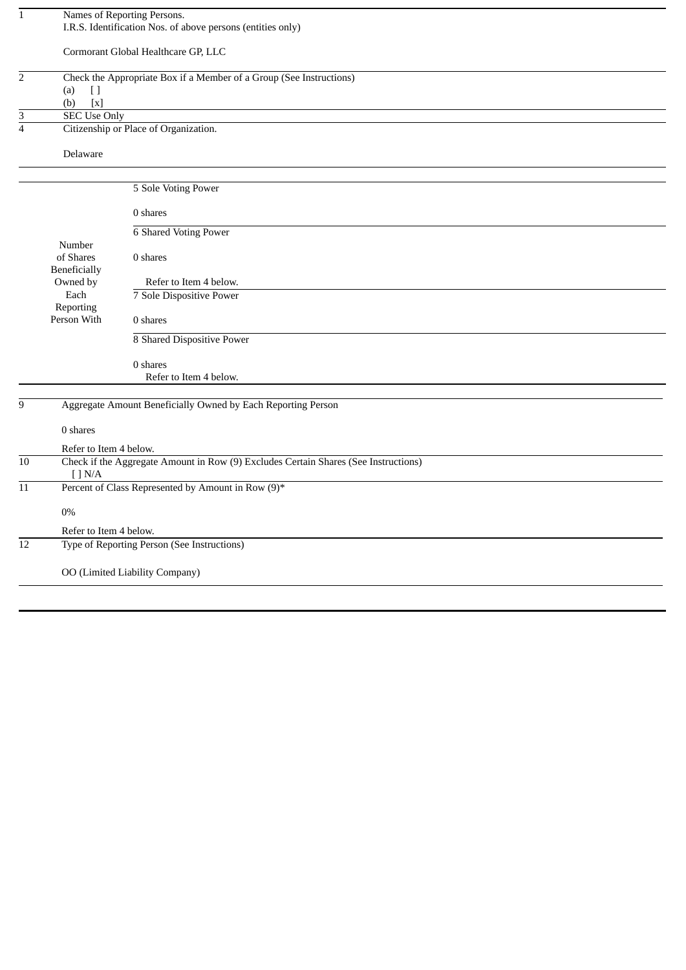| $\mathbf{1}$                     |                                  | Names of Reporting Persons.<br>I.R.S. Identification Nos. of above persons (entities only) |
|----------------------------------|----------------------------------|--------------------------------------------------------------------------------------------|
|                                  |                                  |                                                                                            |
|                                  |                                  | Cormorant Global Healthcare GP, LLC                                                        |
| $\overline{2}$                   |                                  | Check the Appropriate Box if a Member of a Group (See Instructions)                        |
|                                  | (a)<br>$[ \ ]$                   |                                                                                            |
|                                  | $\left[ \text{x} \right]$<br>(b) |                                                                                            |
| $\overline{3}$<br>$\overline{4}$ | <b>SEC Use Only</b>              |                                                                                            |
|                                  |                                  | Citizenship or Place of Organization.                                                      |
|                                  | Delaware                         |                                                                                            |
|                                  |                                  | 5 Sole Voting Power                                                                        |
|                                  |                                  |                                                                                            |
|                                  |                                  | 0 shares                                                                                   |
|                                  |                                  | <b>6 Shared Voting Power</b>                                                               |
|                                  | Number                           |                                                                                            |
|                                  | of Shares                        | 0 shares                                                                                   |
|                                  | Beneficially<br>Owned by         |                                                                                            |
|                                  | Each                             | Refer to Item 4 below.<br>7 Sole Dispositive Power                                         |
|                                  | Reporting                        |                                                                                            |
|                                  | Person With                      | 0 shares                                                                                   |
|                                  |                                  | 8 Shared Dispositive Power                                                                 |
|                                  |                                  | 0 shares                                                                                   |
|                                  |                                  | Refer to Item 4 below.                                                                     |
|                                  |                                  |                                                                                            |
| 9                                |                                  | Aggregate Amount Beneficially Owned by Each Reporting Person                               |
|                                  | 0 shares                         |                                                                                            |
|                                  | Refer to Item 4 below.           |                                                                                            |
| $\overline{10}$                  |                                  | Check if the Aggregate Amount in Row (9) Excludes Certain Shares (See Instructions)        |
|                                  | [ ] N/A                          |                                                                                            |
| $11\,$                           |                                  | Percent of Class Represented by Amount in Row (9)*                                         |
|                                  | $0\%$                            |                                                                                            |
|                                  | Refer to Item 4 below.           |                                                                                            |
| 12                               |                                  | Type of Reporting Person (See Instructions)                                                |
|                                  |                                  | OO (Limited Liability Company)                                                             |
|                                  |                                  |                                                                                            |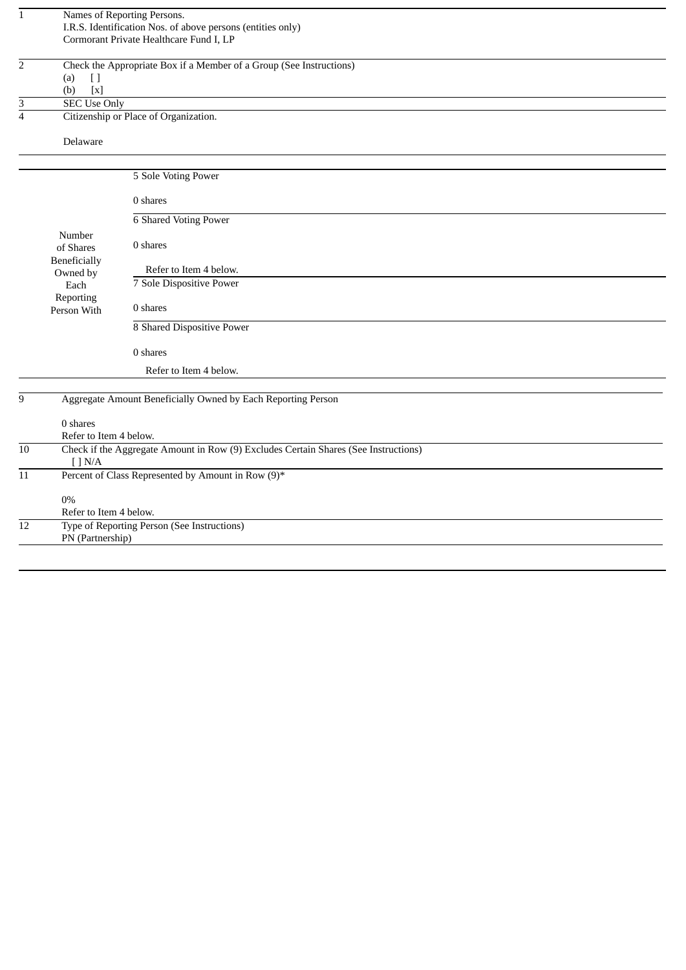| $\mathbf{1}$            |                        | Names of Reporting Persons.                                                         |
|-------------------------|------------------------|-------------------------------------------------------------------------------------|
|                         |                        | I.R.S. Identification Nos. of above persons (entities only)                         |
|                         |                        | Cormorant Private Healthcare Fund I, LP                                             |
|                         |                        |                                                                                     |
| $\overline{2}$          |                        | Check the Appropriate Box if a Member of a Group (See Instructions)                 |
|                         | (a)<br>$[ \ ]$         |                                                                                     |
|                         | (b)<br>[x]             |                                                                                     |
| 3                       | <b>SEC Use Only</b>    |                                                                                     |
| $\overline{\mathbf{4}}$ |                        | Citizenship or Place of Organization.                                               |
|                         |                        |                                                                                     |
|                         | Delaware               |                                                                                     |
|                         |                        |                                                                                     |
|                         |                        |                                                                                     |
|                         |                        | 5 Sole Voting Power                                                                 |
|                         |                        |                                                                                     |
|                         |                        | 0 shares                                                                            |
|                         |                        |                                                                                     |
|                         |                        | <b>6 Shared Voting Power</b>                                                        |
|                         | Number                 |                                                                                     |
|                         | of Shares              | 0 shares                                                                            |
|                         | Beneficially           |                                                                                     |
|                         | Owned by               | Refer to Item 4 below.                                                              |
|                         | Each                   | 7 Sole Dispositive Power                                                            |
|                         | Reporting              |                                                                                     |
|                         | Person With            | 0 shares                                                                            |
|                         |                        | 8 Shared Dispositive Power                                                          |
|                         |                        |                                                                                     |
|                         |                        | 0 shares                                                                            |
|                         |                        |                                                                                     |
|                         |                        | Refer to Item 4 below.                                                              |
|                         |                        |                                                                                     |
| 9                       |                        | Aggregate Amount Beneficially Owned by Each Reporting Person                        |
|                         |                        |                                                                                     |
|                         | 0 shares               |                                                                                     |
|                         | Refer to Item 4 below. |                                                                                     |
| $10\,$                  |                        | Check if the Aggregate Amount in Row (9) Excludes Certain Shares (See Instructions) |
|                         | [ ] N/A                |                                                                                     |
| $\overline{11}$         |                        | Percent of Class Represented by Amount in Row (9)*                                  |
|                         |                        |                                                                                     |
|                         | $0\%$                  |                                                                                     |
|                         | Refer to Item 4 below. |                                                                                     |
| 12                      |                        | Type of Reporting Person (See Instructions)                                         |
|                         | PN (Partnership)       |                                                                                     |
|                         |                        |                                                                                     |
|                         |                        |                                                                                     |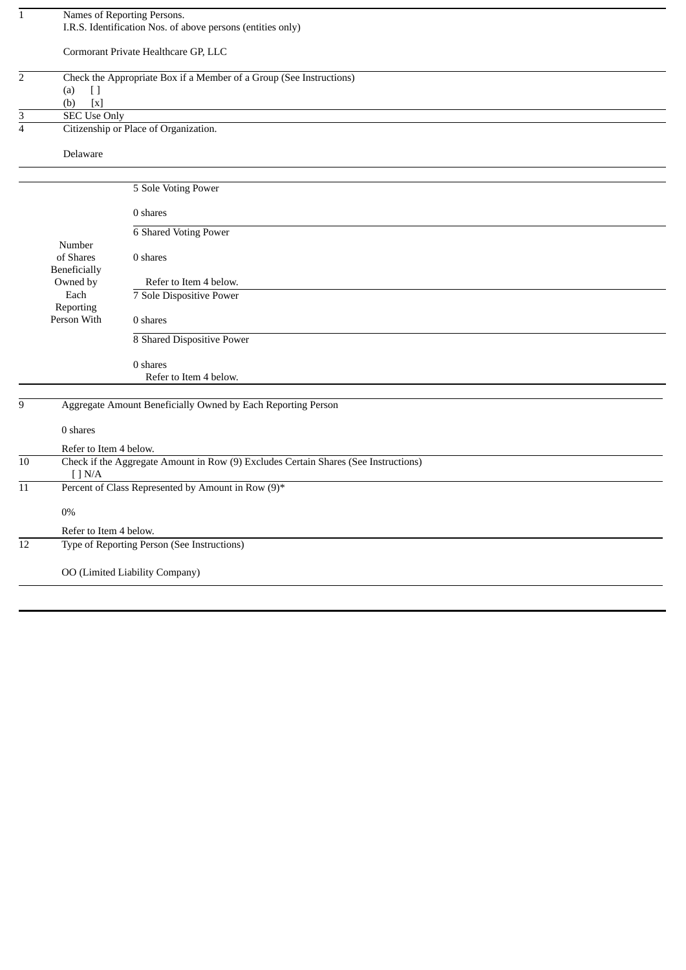| $\mathbf{1}$                     |                          | Names of Reporting Persons.<br>I.R.S. Identification Nos. of above persons (entities only) |
|----------------------------------|--------------------------|--------------------------------------------------------------------------------------------|
|                                  |                          |                                                                                            |
|                                  |                          | Cormorant Private Healthcare GP, LLC                                                       |
| $\overline{c}$                   |                          | Check the Appropriate Box if a Member of a Group (See Instructions)                        |
|                                  | (a)<br>$[ \ ]$           |                                                                                            |
|                                  | [x]<br>(b)               |                                                                                            |
| $\overline{3}$<br>$\overline{4}$ | <b>SEC Use Only</b>      | Citizenship or Place of Organization.                                                      |
|                                  |                          |                                                                                            |
|                                  | Delaware                 |                                                                                            |
|                                  |                          |                                                                                            |
|                                  |                          | 5 Sole Voting Power                                                                        |
|                                  |                          | 0 shares                                                                                   |
|                                  |                          | <b>6 Shared Voting Power</b>                                                               |
|                                  | Number                   |                                                                                            |
|                                  | of Shares                | 0 shares                                                                                   |
|                                  | Beneficially<br>Owned by | Refer to Item 4 below.                                                                     |
|                                  | Each                     | 7 Sole Dispositive Power                                                                   |
|                                  | Reporting                |                                                                                            |
|                                  | Person With              | 0 shares                                                                                   |
|                                  |                          | 8 Shared Dispositive Power                                                                 |
|                                  |                          | 0 shares                                                                                   |
|                                  |                          | Refer to Item 4 below.                                                                     |
|                                  |                          |                                                                                            |
| $\boldsymbol{9}$                 |                          | Aggregate Amount Beneficially Owned by Each Reporting Person                               |
|                                  | 0 shares                 |                                                                                            |
|                                  | Refer to Item 4 below.   |                                                                                            |
| $\overline{10}$                  |                          | Check if the Aggregate Amount in Row (9) Excludes Certain Shares (See Instructions)        |
| $11\,$                           | $[$ $]$ N/A              | Percent of Class Represented by Amount in Row (9)*                                         |
|                                  |                          |                                                                                            |
|                                  | 0%                       |                                                                                            |
|                                  | Refer to Item 4 below.   |                                                                                            |
| 12                               |                          | Type of Reporting Person (See Instructions)                                                |
|                                  |                          | OO (Limited Liability Company)                                                             |
|                                  |                          |                                                                                            |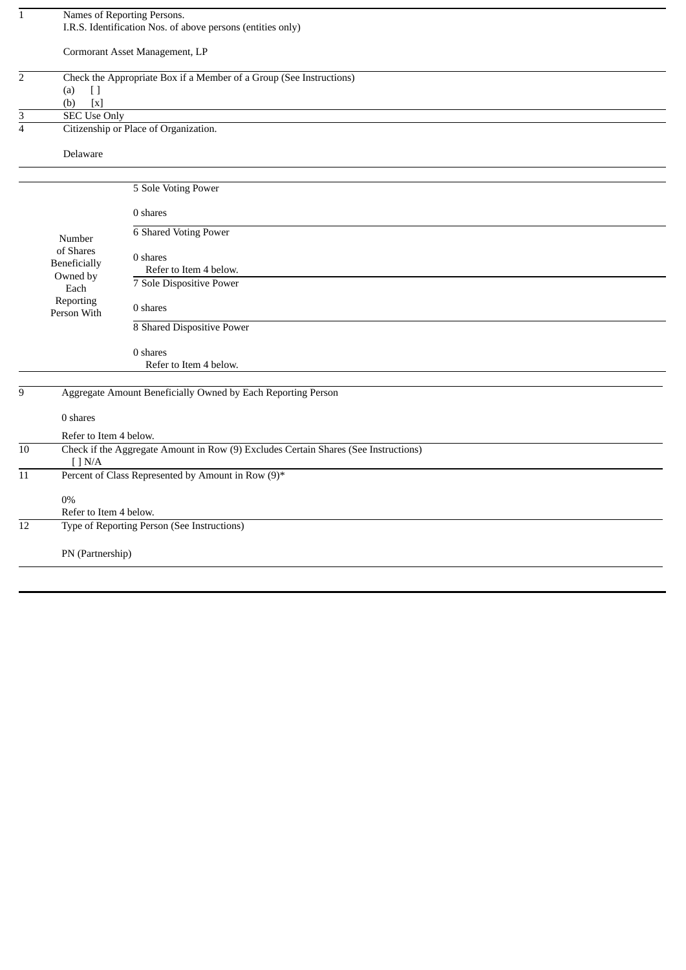| $\mathbf{1}$            |                          | Names of Reporting Persons.                                                         |
|-------------------------|--------------------------|-------------------------------------------------------------------------------------|
|                         |                          | I.R.S. Identification Nos. of above persons (entities only)                         |
|                         |                          |                                                                                     |
|                         |                          | Cormorant Asset Management, LP                                                      |
|                         |                          |                                                                                     |
| $\overline{2}$          |                          | Check the Appropriate Box if a Member of a Group (See Instructions)                 |
|                         | (a)<br>$[ \ ]$           |                                                                                     |
|                         | $\left[ x\right]$<br>(b) |                                                                                     |
| 3                       | <b>SEC Use Only</b>      |                                                                                     |
| $\overline{\mathbf{4}}$ |                          | Citizenship or Place of Organization.                                               |
|                         |                          |                                                                                     |
|                         | Delaware                 |                                                                                     |
|                         |                          |                                                                                     |
|                         |                          |                                                                                     |
|                         |                          | 5 Sole Voting Power                                                                 |
|                         |                          |                                                                                     |
|                         |                          | 0 shares                                                                            |
|                         |                          |                                                                                     |
|                         | Number                   | <b>6 Shared Voting Power</b>                                                        |
|                         | of Shares                |                                                                                     |
|                         | <b>Beneficially</b>      | 0 shares                                                                            |
|                         | Owned by                 | Refer to Item 4 below.                                                              |
|                         | Each                     | 7 Sole Dispositive Power                                                            |
|                         | Reporting                |                                                                                     |
|                         | Person With              | 0 shares                                                                            |
|                         |                          | 8 Shared Dispositive Power                                                          |
|                         |                          |                                                                                     |
|                         |                          | 0 shares                                                                            |
|                         |                          | Refer to Item 4 below.                                                              |
|                         |                          |                                                                                     |
|                         |                          |                                                                                     |
| 9                       |                          | Aggregate Amount Beneficially Owned by Each Reporting Person                        |
|                         |                          |                                                                                     |
|                         | 0 shares                 |                                                                                     |
|                         | Refer to Item 4 below.   |                                                                                     |
| $\overline{10}$         |                          | Check if the Aggregate Amount in Row (9) Excludes Certain Shares (See Instructions) |
|                         | [ ] N/A                  |                                                                                     |
| 11                      |                          | Percent of Class Represented by Amount in Row (9)*                                  |
|                         |                          |                                                                                     |
|                         | 0%                       |                                                                                     |
|                         | Refer to Item 4 below.   |                                                                                     |
| $\overline{12}$         |                          | Type of Reporting Person (See Instructions)                                         |
|                         |                          |                                                                                     |
|                         |                          |                                                                                     |
|                         | PN (Partnership)         |                                                                                     |
|                         |                          |                                                                                     |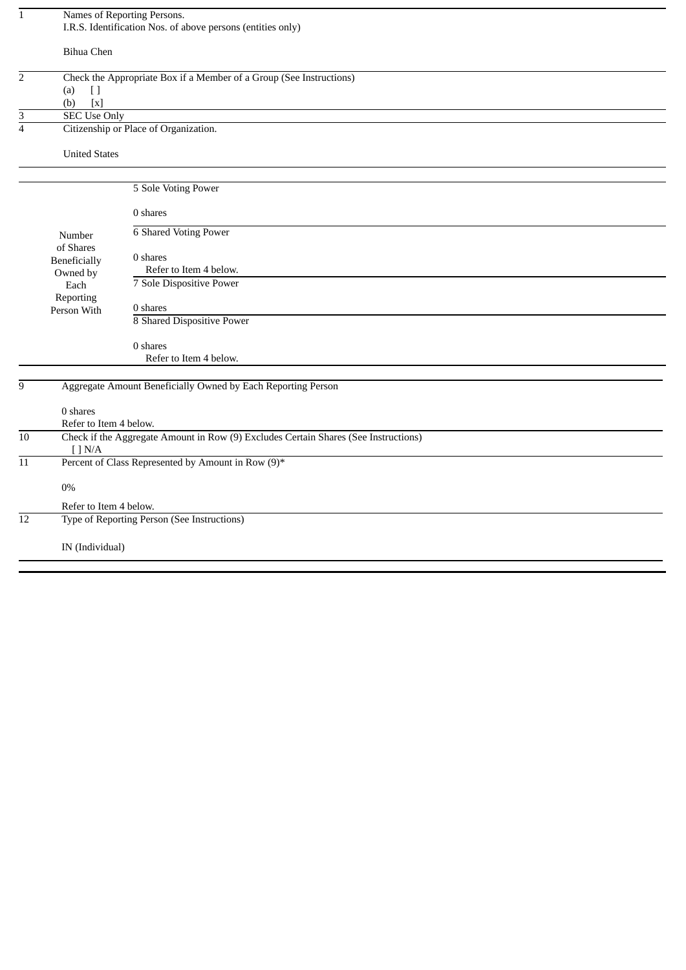| $\mathbf{1}$    |                          | Names of Reporting Persons.                                                         |
|-----------------|--------------------------|-------------------------------------------------------------------------------------|
|                 |                          | I.R.S. Identification Nos. of above persons (entities only)                         |
|                 |                          |                                                                                     |
|                 | <b>Bihua Chen</b>        |                                                                                     |
|                 |                          |                                                                                     |
| $\overline{2}$  |                          | Check the Appropriate Box if a Member of a Group (See Instructions)                 |
|                 | $\lceil$<br>(a)          |                                                                                     |
|                 | (b)<br>$\left[ x\right]$ |                                                                                     |
| 3               | <b>SEC Use Only</b>      |                                                                                     |
| $\overline{4}$  |                          | Citizenship or Place of Organization.                                               |
|                 |                          |                                                                                     |
|                 | <b>United States</b>     |                                                                                     |
|                 |                          |                                                                                     |
|                 |                          | 5 Sole Voting Power                                                                 |
|                 |                          |                                                                                     |
|                 |                          | 0 shares                                                                            |
|                 | Number                   | <b>6 Shared Voting Power</b>                                                        |
|                 | of Shares                |                                                                                     |
|                 | <b>Beneficially</b>      | 0 shares                                                                            |
|                 | Owned by                 | Refer to Item 4 below.                                                              |
|                 | Each                     | 7 Sole Dispositive Power                                                            |
|                 | Reporting                |                                                                                     |
|                 | Person With              | 0 shares                                                                            |
|                 |                          | 8 Shared Dispositive Power                                                          |
|                 |                          |                                                                                     |
|                 |                          | 0 shares                                                                            |
|                 |                          | Refer to Item 4 below.                                                              |
|                 |                          |                                                                                     |
| 9               |                          | Aggregate Amount Beneficially Owned by Each Reporting Person                        |
|                 | 0 shares                 |                                                                                     |
|                 | Refer to Item 4 below.   |                                                                                     |
| 10              |                          | Check if the Aggregate Amount in Row (9) Excludes Certain Shares (See Instructions) |
|                 | [ ] N/A                  |                                                                                     |
| $\overline{11}$ |                          | Percent of Class Represented by Amount in Row (9)*                                  |
|                 |                          |                                                                                     |
|                 | 0%                       |                                                                                     |
|                 | Refer to Item 4 below.   |                                                                                     |
| 12              |                          | Type of Reporting Person (See Instructions)                                         |
|                 |                          |                                                                                     |
|                 | IN (Individual)          |                                                                                     |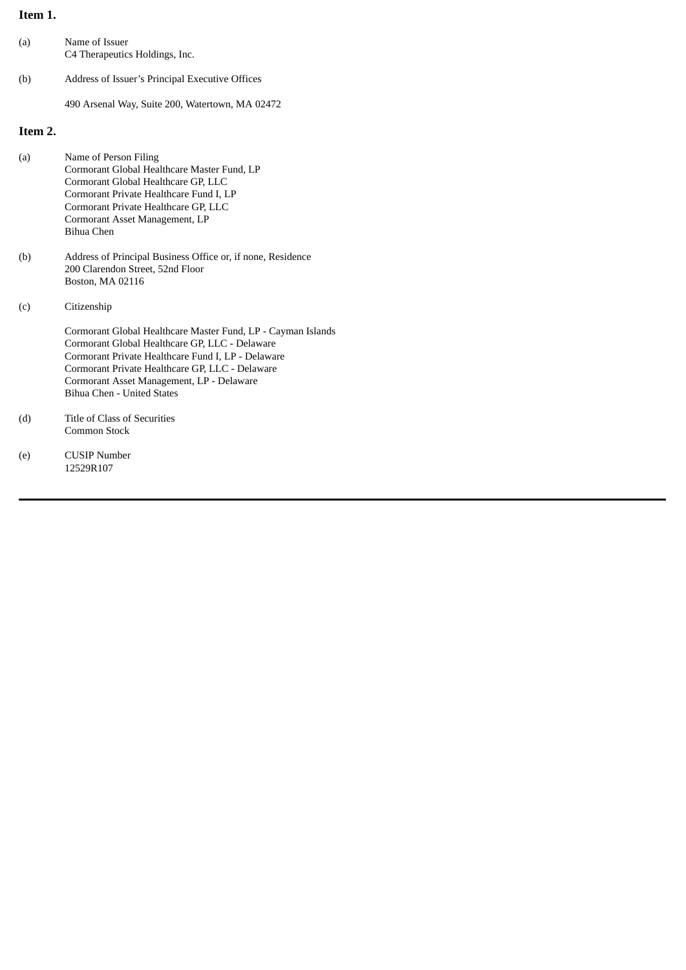## **Item 1.**

| (a)     | Name of Issuer<br>C4 Therapeutics Holdings, Inc.                                                                                                                                               |
|---------|------------------------------------------------------------------------------------------------------------------------------------------------------------------------------------------------|
| (b)     | Address of Issuer's Principal Executive Offices                                                                                                                                                |
|         | 490 Arsenal Way, Suite 200, Watertown, MA 02472                                                                                                                                                |
| Item 2. |                                                                                                                                                                                                |
| (a)     | Name of Person Filing<br>Cormorant Global Healthcare Master Fund, LP<br>Cormorant Global Healthcare GP, LLC<br>Cormorant Private Healthcare Fund I, LP<br>Cormorant Private Healthcare GP, LLC |

Cormorant Asset Management, LP

- (b) Address of Principal Business Office or, if none, Residence 200 Clarendon Street, 52nd Floor Boston, MA 02116
- (c) Citizenship

Bihua Chen

Cormorant Global Healthcare Master Fund, LP - Cayman Islands Cormorant Global Healthcare GP, LLC - Delaware Cormorant Private Healthcare Fund I, LP - Delaware Cormorant Private Healthcare GP, LLC - Delaware Cormorant Asset Management, LP - Delaware Bihua Chen - United States

- (d) Title of Class of Securities Common Stock
- (e) CUSIP Number 12529R107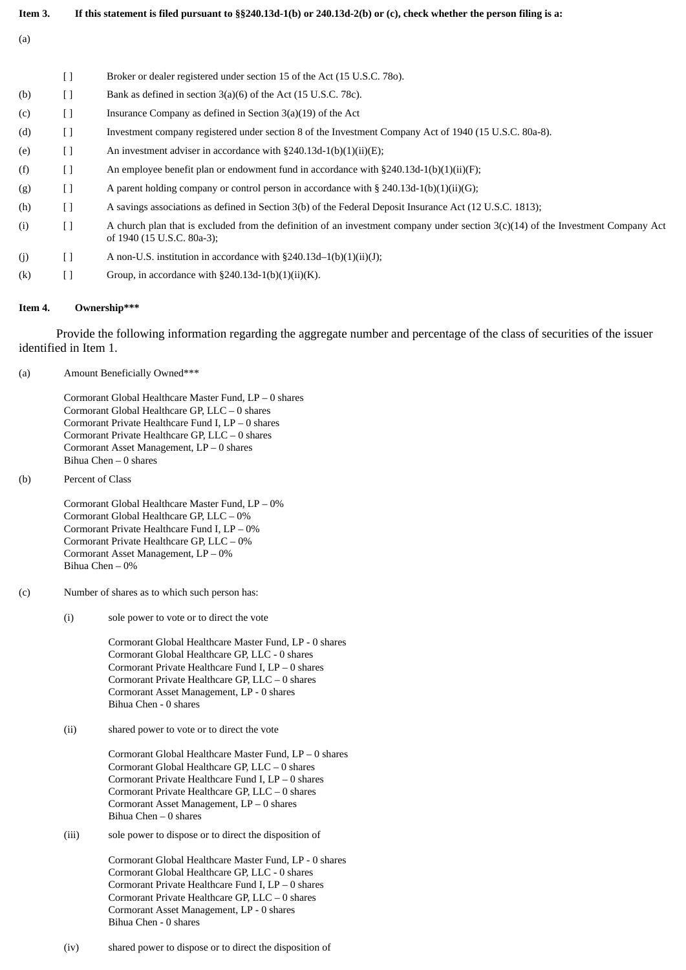| Item 3. | If this statement is filed pursuant to $\S$ 240.13d-1(b) or 240.13d-2(b) or (c), check whether the person filing is a: |                                                                                                                                                                  |  |
|---------|------------------------------------------------------------------------------------------------------------------------|------------------------------------------------------------------------------------------------------------------------------------------------------------------|--|
| (a)     |                                                                                                                        |                                                                                                                                                                  |  |
|         | ſΙ                                                                                                                     | Broker or dealer registered under section 15 of the Act (15 U.S.C. 780).                                                                                         |  |
| (b)     | $[ \ ]$                                                                                                                | Bank as defined in section 3(a)(6) of the Act (15 U.S.C. 78c).                                                                                                   |  |
| (c)     | $\Box$                                                                                                                 | Insurance Company as defined in Section $3(a)(19)$ of the Act                                                                                                    |  |
| (d)     | $\Box$                                                                                                                 | Investment company registered under section 8 of the Investment Company Act of 1940 (15 U.S.C. 80a-8).                                                           |  |
| (e)     | $\Box$                                                                                                                 | An investment adviser in accordance with $\S240.13d-1(b)(1)(ii)(E)$ ;                                                                                            |  |
| (f)     | $\lceil$ $\rceil$                                                                                                      | An employee benefit plan or endowment fund in accordance with $\S 240.13d-1(b)(1)(ii)(F)$ ;                                                                      |  |
| (g)     | $\Box$                                                                                                                 | A parent holding company or control person in accordance with § 240.13d-1(b)(1)(ii)(G);                                                                          |  |
| (h)     | $\Box$                                                                                                                 | A savings associations as defined in Section 3(b) of the Federal Deposit Insurance Act (12 U.S.C. 1813);                                                         |  |
| (i)     | $\lceil$ $\rceil$                                                                                                      | A church plan that is excluded from the definition of an investment company under section $3(c)(14)$ of the Investment Company Act<br>of 1940 (15 U.S.C. 80a-3); |  |
| (j)     | П                                                                                                                      | A non-U.S. institution in accordance with $\S 240.13d-1(b)(1)(ii)(J);$                                                                                           |  |

(k)  $[$   $]$  Group, in accordance with §240.13d-1(b)(1)(ii)(K).

#### **Item 4. Ownership\*\*\***

Provide the following information regarding the aggregate number and percentage of the class of securities of the issuer identified in Item 1.

(a) Amount Beneficially Owned\*\*\*

Cormorant Global Healthcare Master Fund, LP – 0 shares Cormorant Global Healthcare GP, LLC – 0 shares Cormorant Private Healthcare Fund I, LP – 0 shares Cormorant Private Healthcare GP, LLC – 0 shares Cormorant Asset Management, LP – 0 shares Bihua Chen – 0 shares

(b) Percent of Class

Cormorant Global Healthcare Master Fund, LP – 0% Cormorant Global Healthcare GP, LLC – 0% Cormorant Private Healthcare Fund I, LP – 0% Cormorant Private Healthcare GP, LLC – 0% Cormorant Asset Management, LP – 0% Bihua Chen – 0%

- (c) Number of shares as to which such person has:
	- (i) sole power to vote or to direct the vote

Cormorant Global Healthcare Master Fund, LP - 0 shares Cormorant Global Healthcare GP, LLC - 0 shares Cormorant Private Healthcare Fund I, LP – 0 shares Cormorant Private Healthcare GP, LLC – 0 shares Cormorant Asset Management, LP - 0 shares Bihua Chen - 0 shares

(ii) shared power to vote or to direct the vote

Cormorant Global Healthcare Master Fund, LP – 0 shares Cormorant Global Healthcare GP, LLC – 0 shares Cormorant Private Healthcare Fund I, LP – 0 shares Cormorant Private Healthcare GP, LLC – 0 shares Cormorant Asset Management, LP – 0 shares Bihua Chen – 0 shares

(iii) sole power to dispose or to direct the disposition of

Cormorant Global Healthcare Master Fund, LP - 0 shares Cormorant Global Healthcare GP, LLC - 0 shares Cormorant Private Healthcare Fund I, LP – 0 shares Cormorant Private Healthcare GP, LLC – 0 shares Cormorant Asset Management, LP - 0 shares Bihua Chen - 0 shares

(iv) shared power to dispose or to direct the disposition of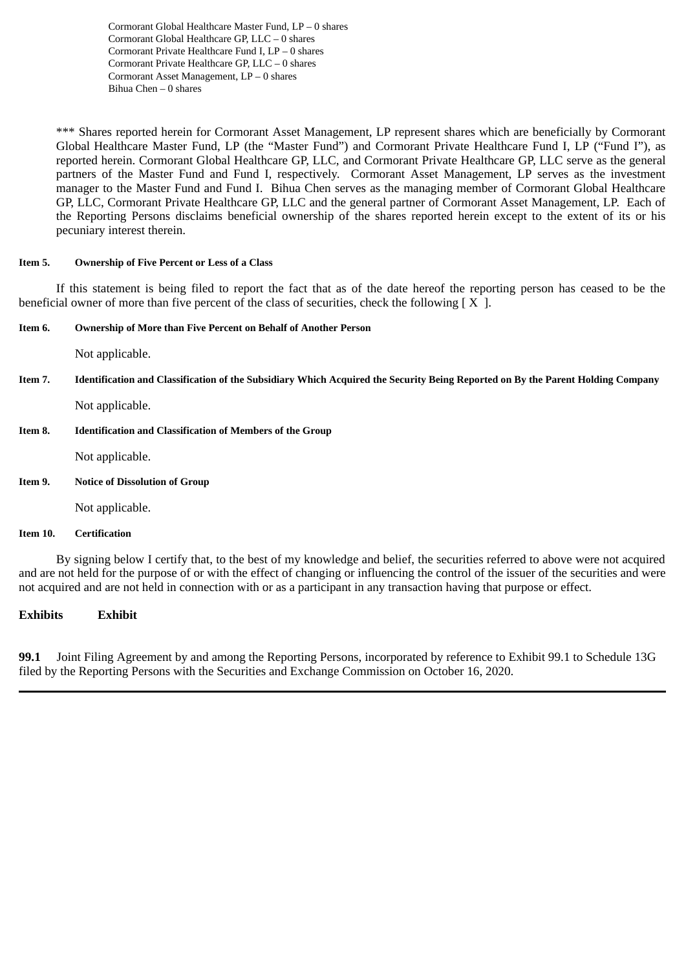Cormorant Global Healthcare Master Fund, LP – 0 shares Cormorant Global Healthcare GP, LLC – 0 shares Cormorant Private Healthcare Fund I, LP – 0 shares Cormorant Private Healthcare GP, LLC – 0 shares Cormorant Asset Management, LP – 0 shares Bihua Chen – 0 shares

\*\*\* Shares reported herein for Cormorant Asset Management, LP represent shares which are beneficially by Cormorant Global Healthcare Master Fund, LP (the "Master Fund") and Cormorant Private Healthcare Fund I, LP ("Fund I"), as reported herein. Cormorant Global Healthcare GP, LLC, and Cormorant Private Healthcare GP, LLC serve as the general partners of the Master Fund and Fund I, respectively. Cormorant Asset Management, LP serves as the investment manager to the Master Fund and Fund I. Bihua Chen serves as the managing member of Cormorant Global Healthcare GP, LLC, Cormorant Private Healthcare GP, LLC and the general partner of Cormorant Asset Management, LP. Each of the Reporting Persons disclaims beneficial ownership of the shares reported herein except to the extent of its or his pecuniary interest therein.

## **Item 5. Ownership of Five Percent or Less of a Class**

If this statement is being filed to report the fact that as of the date hereof the reporting person has ceased to be the beneficial owner of more than five percent of the class of securities, check the following  $[X]$ .

# **Item 6. Ownership of More than Five Percent on Behalf of Another Person**

Not applicable.

Item 7. Identification and Classification of the Subsidiary Which Acquired the Security Being Reported on By the Parent Holding Company

Not applicable.

## **Item 8. Identification and Classification of Members of the Group**

Not applicable.

**Item 9. Notice of Dissolution of Group**

Not applicable.

**Item 10. Certification**

By signing below I certify that, to the best of my knowledge and belief, the securities referred to above were not acquired and are not held for the purpose of or with the effect of changing or influencing the control of the issuer of the securities and were not acquired and are not held in connection with or as a participant in any transaction having that purpose or effect.

**Exhibits Exhibit**

**99.1** Joint Filing Agreement by and among the Reporting Persons, incorporated by reference to Exhibit 99.1 to Schedule 13G filed by the Reporting Persons with the Securities and Exchange Commission on October 16, 2020.